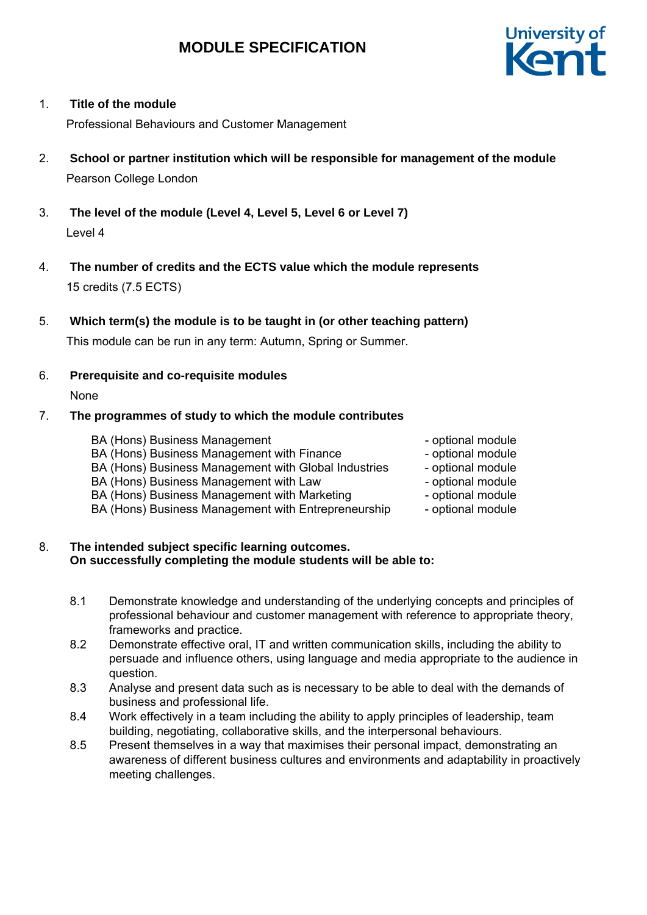

### 1. **Title of the module**

Professional Behaviours and Customer Management

- 2. **School or partner institution which will be responsible for management of the module** Pearson College London
- 3. **The level of the module (Level 4, Level 5, Level 6 or Level 7)** Level 4
- 4. **The number of credits and the ECTS value which the module represents**  15 credits (7.5 ECTS)
- 5. **Which term(s) the module is to be taught in (or other teaching pattern)** This module can be run in any term: Autumn, Spring or Summer.
- 6. **Prerequisite and co-requisite modules**

None

#### 7. **The programmes of study to which the module contributes**

BA (Hons) Business Management - and the optional module BA (Hons) Business Management with Finance The Supersonal module

BA (Hons) Business Management with Global Industries - optional module

- BA (Hons) Business Management with Law optional module
- BA (Hons) Business Management with Marketing potional module
- BA (Hons) Business Management with Entrepreneurship optional module

#### 8. **The intended subject specific learning outcomes. On successfully completing the module students will be able to:**

- 8.1 Demonstrate knowledge and understanding of the underlying concepts and principles of professional behaviour and customer management with reference to appropriate theory, frameworks and practice.
- 8.2 Demonstrate effective oral, IT and written communication skills, including the ability to persuade and influence others, using language and media appropriate to the audience in question.
- 8.3 Analyse and present data such as is necessary to be able to deal with the demands of business and professional life.
- 8.4 Work effectively in a team including the ability to apply principles of leadership, team building, negotiating, collaborative skills, and the interpersonal behaviours.
- 8.5 Present themselves in a way that maximises their personal impact, demonstrating an awareness of different business cultures and environments and adaptability in proactively meeting challenges.
- 
- 
- 
- 
-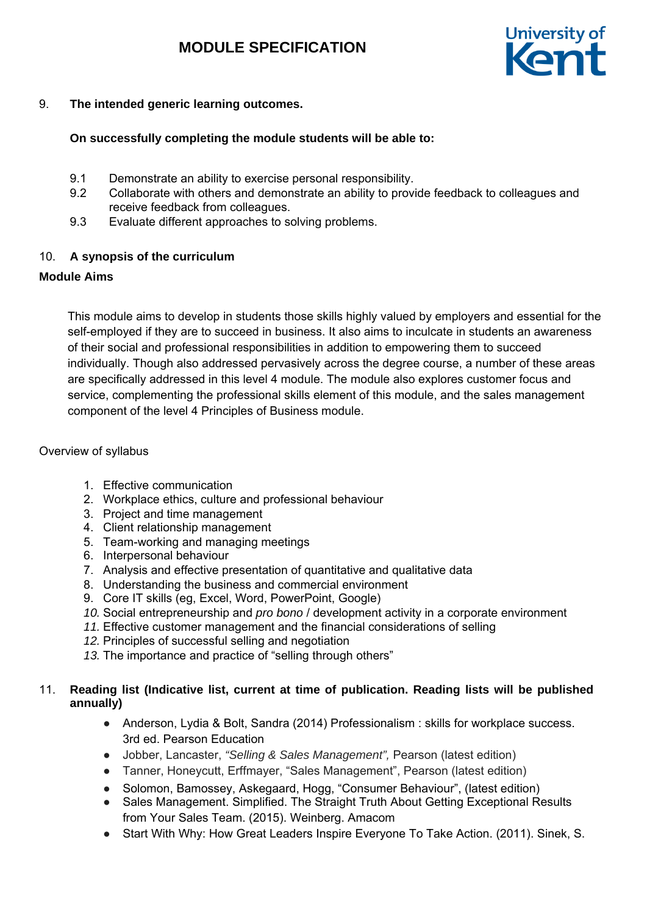

# 9. **The intended generic learning outcomes.**

# **On successfully completing the module students will be able to:**

- 9.1 Demonstrate an ability to exercise personal responsibility.
- 9.2 Collaborate with others and demonstrate an ability to provide feedback to colleagues and receive feedback from colleagues.
- 9.3 Evaluate different approaches to solving problems.

# 10. **A synopsis of the curriculum**

# **Module Aims**

This module aims to develop in students those skills highly valued by employers and essential for the self-employed if they are to succeed in business. It also aims to inculcate in students an awareness of their social and professional responsibilities in addition to empowering them to succeed individually. Though also addressed pervasively across the degree course, a number of these areas are specifically addressed in this level 4 module. The module also explores customer focus and service, complementing the professional skills element of this module, and the sales management component of the level 4 Principles of Business module.

### Overview of syllabus

- 1. Effective communication
- 2. Workplace ethics, culture and professional behaviour
- 3. Project and time management
- 4. Client relationship management
- 5. Team-working and managing meetings
- 6. Interpersonal behaviour
- 7. Analysis and effective presentation of quantitative and qualitative data
- 8. Understanding the business and commercial environment
- 9. Core IT skills (eg, Excel, Word, PowerPoint, Google)
- *10.* Social entrepreneurship and *pro bono* / development activity in a corporate environment
- *11.* Effective customer management and the financial considerations of selling
- *12.* Principles of successful selling and negotiation
- *13.* The importance and practice of "selling through others"

# 11. **Reading list (Indicative list, current at time of publication. Reading lists will be published annually)**

- Anderson, Lydia & Bolt, Sandra (2014) Professionalism : skills for workplace success. 3rd ed. Pearson Education
- Jobber, Lancaster, *"Selling & Sales Management",* Pearson (latest edition)
- Tanner, Honeycutt, Erffmayer, "Sales Management", Pearson (latest edition)
- Solomon, Bamossey, Askegaard, Hogg, "Consumer Behaviour", (latest edition)
- Sales Management. Simplified. The Straight Truth About Getting Exceptional Results from Your Sales Team. (2015). Weinberg. Amacom
- Start With Why: How Great Leaders Inspire Everyone To Take Action. (2011). Sinek, S.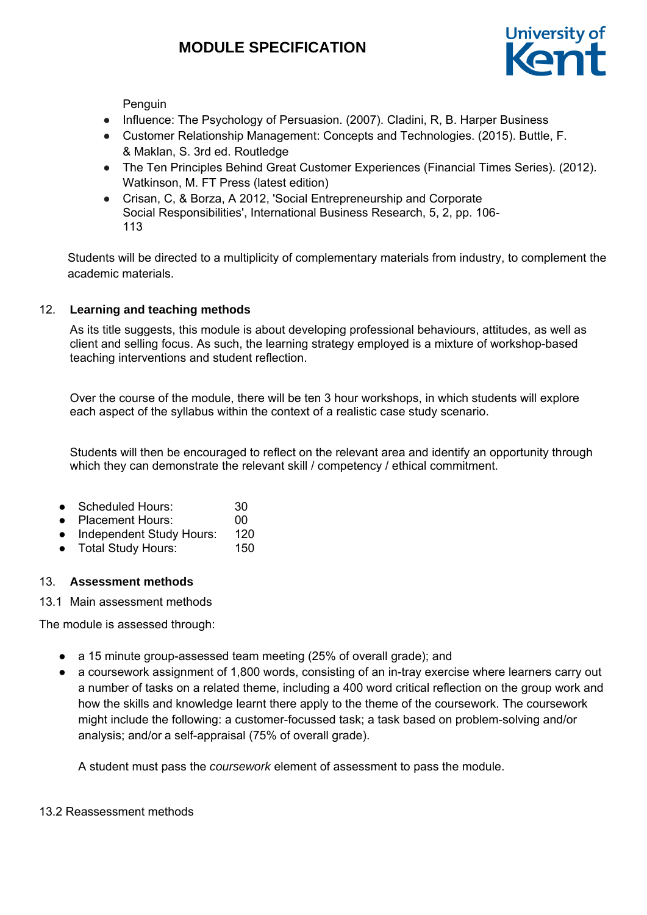

Penguin

- Influence: The Psychology of Persuasion. (2007). Cladini, R, B. Harper Business
- Customer Relationship Management: Concepts and Technologies. (2015). Buttle, F. & Maklan, S. 3rd ed. Routledge
- The Ten Principles Behind Great Customer Experiences (Financial Times Series). (2012). Watkinson, M. FT Press (latest edition)
- Crisan, C, & Borza, A 2012, 'Social Entrepreneurship and Corporate Social Responsibilities', International Business Research, 5, 2, pp. 106- 113

Students will be directed to a multiplicity of complementary materials from industry, to complement the academic materials.

# 12. **Learning and teaching methods**

As its title suggests, this module is about developing professional behaviours, attitudes, as well as client and selling focus. As such, the learning strategy employed is a mixture of workshop-based teaching interventions and student reflection.

Over the course of the module, there will be ten 3 hour workshops, in which students will explore each aspect of the syllabus within the context of a realistic case study scenario.

Students will then be encouraged to reflect on the relevant area and identify an opportunity through which they can demonstrate the relevant skill / competency / ethical commitment.

- Scheduled Hours: 30
- Placement Hours: 00
- Independent Study Hours: 120
- Total Study Hours: 150

### 13. **Assessment methods**

#### 13.1 Main assessment methods

The module is assessed through:

- a 15 minute group-assessed team meeting (25% of overall grade); and
- a coursework assignment of 1,800 words, consisting of an in-tray exercise where learners carry out a number of tasks on a related theme, including a 400 word critical reflection on the group work and how the skills and knowledge learnt there apply to the theme of the coursework. The coursework might include the following: a customer-focussed task; a task based on problem-solving and/or analysis; and/or a self-appraisal (75% of overall grade).

A student must pass the *coursework* element of assessment to pass the module.

### 13.2 Reassessment methods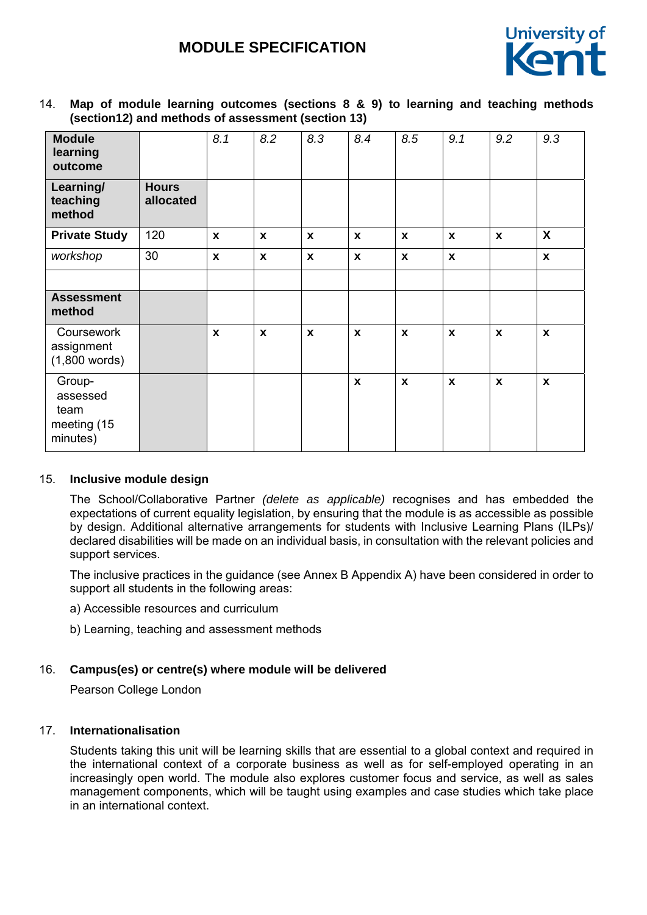

# 14. **Map of module learning outcomes (sections 8 & 9) to learning and teaching methods (section12) and methods of assessment (section 13)**

| <b>Module</b><br>learning<br>outcome                  |                           | 8.1          | 8.2          | 8.3          | 8.4          | 8.5                | 9.1          | 9.2          | 9.3                |
|-------------------------------------------------------|---------------------------|--------------|--------------|--------------|--------------|--------------------|--------------|--------------|--------------------|
| Learning/<br>teaching<br>method                       | <b>Hours</b><br>allocated |              |              |              |              |                    |              |              |                    |
| <b>Private Study</b>                                  | 120                       | $\mathbf{x}$ | $\mathbf{x}$ | $\mathbf{x}$ | $\mathbf{x}$ | $\pmb{\mathsf{x}}$ | X            | $\mathbf{x}$ | X                  |
| workshop                                              | 30                        | $\pmb{\chi}$ | X            | $\mathbf{x}$ | $\pmb{\chi}$ | $\pmb{\mathsf{x}}$ | $\pmb{\chi}$ |              | $\mathbf x$        |
|                                                       |                           |              |              |              |              |                    |              |              |                    |
| <b>Assessment</b><br>method                           |                           |              |              |              |              |                    |              |              |                    |
| Coursework<br>assignment<br>$(1,800$ words)           |                           | $\pmb{\chi}$ | X            | $\mathbf{x}$ | $\pmb{\chi}$ | $\pmb{\mathsf{x}}$ | X            | $\mathbf{x}$ | $\pmb{\mathsf{x}}$ |
| Group-<br>assessed<br>team<br>meeting (15<br>minutes) |                           |              |              |              | $\mathbf{x}$ | $\pmb{\mathsf{x}}$ | $\mathbf{x}$ | $\mathbf{x}$ | $\mathbf{x}$       |

### 15. **Inclusive module design**

The School/Collaborative Partner *(delete as applicable)* recognises and has embedded the expectations of current equality legislation, by ensuring that the module is as accessible as possible by design. Additional alternative arrangements for students with Inclusive Learning Plans (ILPs)/ declared disabilities will be made on an individual basis, in consultation with the relevant policies and support services.

The inclusive practices in the guidance (see Annex B Appendix A) have been considered in order to support all students in the following areas:

a) Accessible resources and curriculum

b) Learning, teaching and assessment methods

### 16. **Campus(es) or centre(s) where module will be delivered**

Pearson College London

### 17. **Internationalisation**

Students taking this unit will be learning skills that are essential to a global context and required in the international context of a corporate business as well as for self-employed operating in an increasingly open world. The module also explores customer focus and service, as well as sales management components, which will be taught using examples and case studies which take place in an international context.